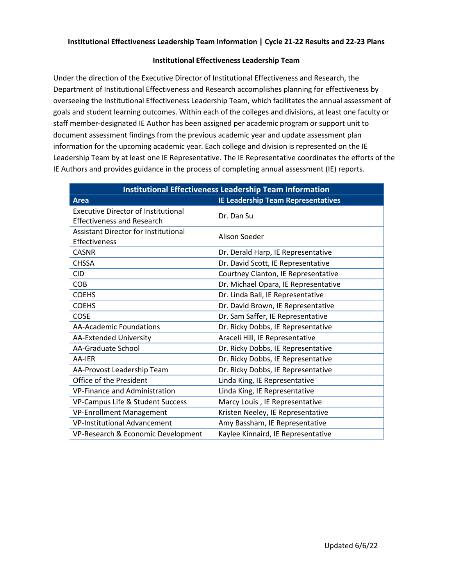## **Institutional Effectiveness Leadership Team**

Under the direction of the Executive Director of Institutional Effectiveness and Research, the Department of Institutional Effectiveness and Research accomplishes planning for effectiveness by overseeing the Institutional Effectiveness Leadership Team, which facilitates the annual assessment of goals and student learning outcomes. Within each of the colleges and divisions, at least one faculty or staff member-designated IE Author has been assigned per academic program or support unit to document assessment findings from the previous academic year and update assessment plan information for the upcoming academic year. Each college and division is represented on the IE Leadership Team by at least one IE Representative. The IE Representative coordinates the efforts of the IE Authors and provides guidance in the process of completing annual assessment (IE) reports.

| <b>Institutional Effectiveness Leadership Team Information</b>                  |                                           |  |
|---------------------------------------------------------------------------------|-------------------------------------------|--|
| <b>Area</b>                                                                     | <b>IE Leadership Team Representatives</b> |  |
| <b>Executive Director of Institutional</b><br><b>Effectiveness and Research</b> | Dr. Dan Su                                |  |
| <b>Assistant Director for Institutional</b><br>Effectiveness                    | Alison Soeder                             |  |
| <b>CASNR</b>                                                                    | Dr. Derald Harp, IE Representative        |  |
| <b>CHSSA</b>                                                                    | Dr. David Scott, IE Representative        |  |
| <b>CID</b>                                                                      | Courtney Clanton, IE Representative       |  |
| <b>COB</b>                                                                      | Dr. Michael Opara, IE Representative      |  |
| <b>COEHS</b>                                                                    | Dr. Linda Ball, IE Representative         |  |
| <b>COEHS</b>                                                                    | Dr. David Brown, IE Representative        |  |
| <b>COSE</b>                                                                     | Dr. Sam Saffer, IE Representative         |  |
| <b>AA-Academic Foundations</b>                                                  | Dr. Ricky Dobbs, IE Representative        |  |
| AA-Extended University                                                          | Araceli Hill, IE Representative           |  |
| <b>AA-Graduate School</b>                                                       | Dr. Ricky Dobbs, IE Representative        |  |
| AA-IER                                                                          | Dr. Ricky Dobbs, IE Representative        |  |
| AA-Provost Leadership Team                                                      | Dr. Ricky Dobbs, IE Representative        |  |
| Office of the President                                                         | Linda King, IE Representative             |  |
| <b>VP-Finance and Administration</b>                                            | Linda King, IE Representative             |  |
| VP-Campus Life & Student Success                                                | Marcy Louis, IE Representative            |  |
| <b>VP-Enrollment Management</b>                                                 | Kristen Neeley, IE Representative         |  |
| <b>VP-Institutional Advancement</b>                                             | Amy Bassham, IE Representative            |  |
| VP-Research & Economic Development                                              | Kaylee Kinnaird, IE Representative        |  |